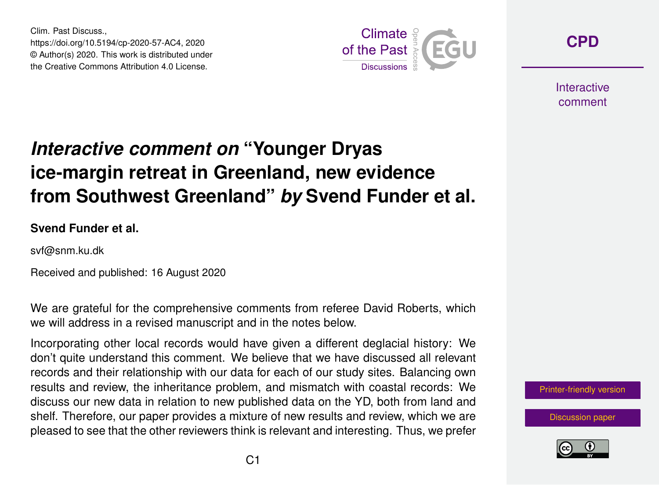Clim. Past Discuss., https://doi.org/10.5194/cp-2020-57-AC4, 2020 © Author(s) 2020. This work is distributed under the Creative Commons Attribution 4.0 License.



**[CPD](https://cp.copernicus.org/preprints/)**

**Interactive** comment

## *Interactive comment on* **"Younger Dryas ice-margin retreat in Greenland, new evidence from Southwest Greenland"** *by* **Svend Funder et al.**

**Svend Funder et al.**

svf@snm.ku.dk

Received and published: 16 August 2020

We are grateful for the comprehensive comments from referee David Roberts, which we will address in a revised manuscript and in the notes below.

Incorporating other local records would have given a different deglacial history: We don't quite understand this comment. We believe that we have discussed all relevant records and their relationship with our data for each of our study sites. Balancing own results and review, the inheritance problem, and mismatch with coastal records: We discuss our new data in relation to new published data on the YD, both from land and shelf. Therefore, our paper provides a mixture of new results and review, which we are pleased to see that the other reviewers think is relevant and interesting. Thus, we prefer

[Printer-friendly version](https://cp.copernicus.org/preprints/cp-2020-57/cp-2020-57-AC4-print.pdf)

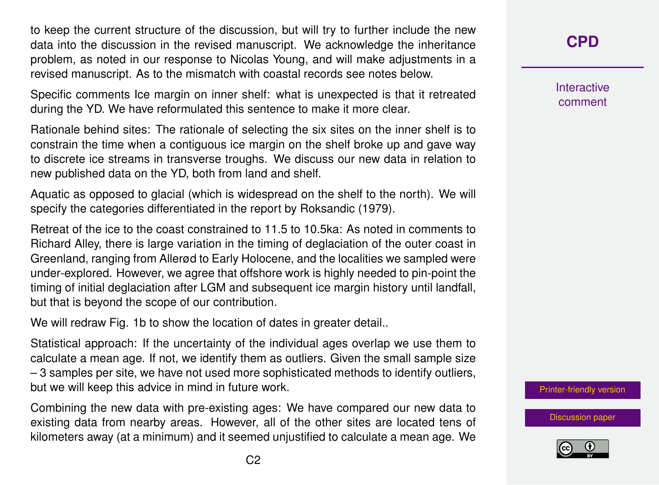to keep the current structure of the discussion, but will try to further include the new data into the discussion in the revised manuscript. We acknowledge the inheritance problem, as noted in our response to Nicolas Young, and will make adjustments in a revised manuscript. As to the mismatch with coastal records see notes below.

Specific comments Ice margin on inner shelf: what is unexpected is that it retreated during the YD. We have reformulated this sentence to make it more clear.

Rationale behind sites: The rationale of selecting the six sites on the inner shelf is to constrain the time when a contiguous ice margin on the shelf broke up and gave way to discrete ice streams in transverse troughs. We discuss our new data in relation to new published data on the YD, both from land and shelf.

Aquatic as opposed to glacial (which is widespread on the shelf to the north). We will specify the categories differentiated in the report by Roksandic (1979).

Retreat of the ice to the coast constrained to 11.5 to 10.5ka: As noted in comments to Richard Alley, there is large variation in the timing of deglaciation of the outer coast in Greenland, ranging from Allerød to Early Holocene, and the localities we sampled were under-explored. However, we agree that offshore work is highly needed to pin-point the timing of initial deglaciation after LGM and subsequent ice margin history until landfall, but that is beyond the scope of our contribution.

We will redraw Fig. 1b to show the location of dates in greater detail..

Statistical approach: If the uncertainty of the individual ages overlap we use them to calculate a mean age. If not, we identify them as outliers. Given the small sample size – 3 samples per site, we have not used more sophisticated methods to identify outliers, but we will keep this advice in mind in future work.

Combining the new data with pre-existing ages: We have compared our new data to existing data from nearby areas. However, all of the other sites are located tens of kilometers away (at a minimum) and it seemed unjustified to calculate a mean age. We

**[CPD](https://cp.copernicus.org/preprints/)**

Interactive comment

[Printer-friendly version](https://cp.copernicus.org/preprints/cp-2020-57/cp-2020-57-AC4-print.pdf)

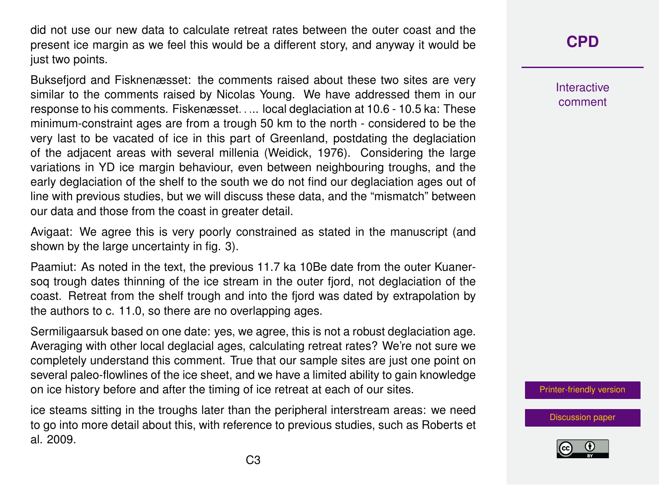did not use our new data to calculate retreat rates between the outer coast and the present ice margin as we feel this would be a different story, and anyway it would be just two points.

Buksefjord and Fisknenæsset: the comments raised about these two sites are very similar to the comments raised by Nicolas Young. We have addressed them in our response to his comments. Fiskenæsset. . ... local deglaciation at 10.6 - 10.5 ka: These minimum-constraint ages are from a trough 50 km to the north - considered to be the very last to be vacated of ice in this part of Greenland, postdating the deglaciation of the adjacent areas with several millenia (Weidick, 1976). Considering the large variations in YD ice margin behaviour, even between neighbouring troughs, and the early deglaciation of the shelf to the south we do not find our deglaciation ages out of line with previous studies, but we will discuss these data, and the "mismatch" between our data and those from the coast in greater detail.

Avigaat: We agree this is very poorly constrained as stated in the manuscript (and shown by the large uncertainty in fig. 3).

Paamiut: As noted in the text, the previous 11.7 ka 10Be date from the outer Kuanersoq trough dates thinning of the ice stream in the outer fjord, not deglaciation of the coast. Retreat from the shelf trough and into the fjord was dated by extrapolation by the authors to c. 11.0, so there are no overlapping ages.

Sermiligaarsuk based on one date: yes, we agree, this is not a robust deglaciation age. Averaging with other local deglacial ages, calculating retreat rates? We're not sure we completely understand this comment. True that our sample sites are just one point on several paleo-flowlines of the ice sheet, and we have a limited ability to gain knowledge on ice history before and after the timing of ice retreat at each of our sites.

ice steams sitting in the troughs later than the peripheral interstream areas: we need to go into more detail about this, with reference to previous studies, such as Roberts et al. 2009.

**[CPD](https://cp.copernicus.org/preprints/)**

Interactive comment

[Printer-friendly version](https://cp.copernicus.org/preprints/cp-2020-57/cp-2020-57-AC4-print.pdf)